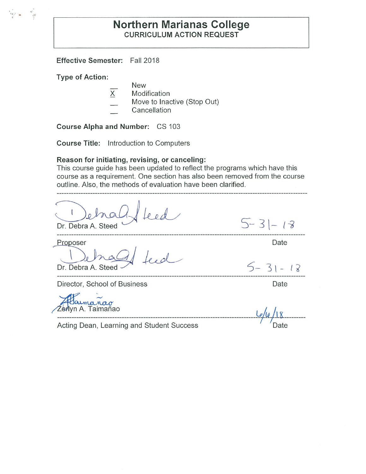# **Northern Marianas College CURRICULUM ACTION REQUEST**

**Effective Semester:** Fall 2018

**Type of Action:** 

l .,

New

- X Modification
- Move to Inactive (Stop Out)
- **Cancellation**

**Course Alpha and Number:** CS 103

**Course Title:** Introduction to Computers

#### **Reason for initiating, revising, or canceling:**

This course guide has been updated to reflect the programs which have this course as a requirement. One section has also been removed from the course outline. Also, the methods of evaluation have been clarified.

Dr. Debra A. Steed

Proposer

Dr. Debra A. Steed

Director, School of Business **Director**, School of Business

**a** Zerlyn A. Taimañao **A. A. La Luis A. La Luis A. La Luis A. La Lu**is A. La Luis A. La Luis A. La Luis A. La Luis

-------------------------------------------------------------------------------------1/l.R/\_\_\_I [ \_\_\_\_\_\_\_\_ \_

Acting Dean, Learning and Student Success

Date

 $5 - 31 - 18$ 

*5-* 3 \ - <sup>t</sup>*i*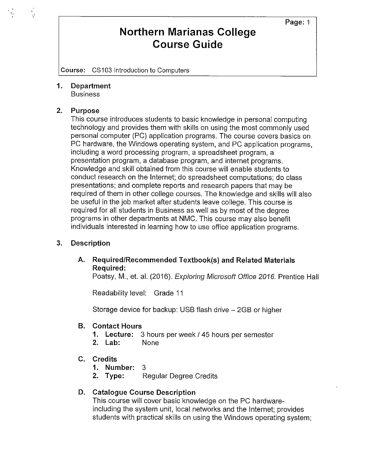# **Northern Marianas College Course Guide**

**Course:** CS103 Introduction to Computers

**1. Department**  Business

#### **2. Purpose**

 $\frac{1}{2}$ 

This course introduces students to basic knowledge in personal computing technology and provides them with skills on using the most commonly used personal computer (PC) application programs. The course covers basics on PC hardware, the Windows operating system, and PC application programs, including a word processing program, a spreadsheet program, a presentation program, a database program, and internet programs. Knowledge and skill obtained from this course will enable students to conduct research on the Internet; do spreadsheet computations; do class presentations; and complete reports and research papers that may be required of them in other college courses. The knowledge and skills will also be useful in the job market after students leave college. This course is required for all students in Business as well as by most of the degree programs in other departments at NMC. This course may also benefit individuals interested in learning how to use office application programs.

#### **3. Description**

# **A. Required/Recommended Textbook(s) and Related Materials Required:**

Poatsy, M., et. al. (2016). Exploring Microsoft Office 2016. Prentice Hall

Readability level: Grade 11

Storage device for backup: USB flash drive  $-2GB$  or higher

#### **B. Contact Hours**

- **1. Lecture:** 3 hours per week/ 45 hours per semester
- **2. Lab:** None
- **C. Credits** 
	- **1. Number:** 3
	- **2. Type:** Regular Degree Credits

## **D. Catalogue Course Description**

This course will cover basic knowledge on the PC hardwareincluding the system unit, local networks and the Internet; provides students with practical skills on using the Windows operating system;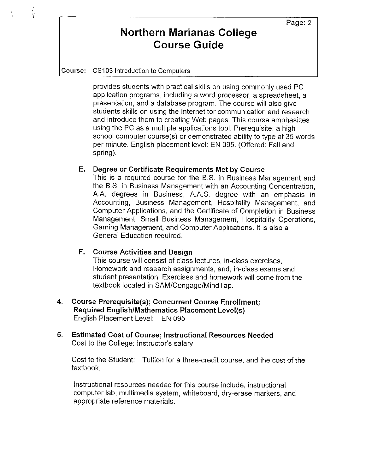# **Northern Marianas College Course Guide**

**Course:** CS103 Introduction to Computers

i<br>M

provides students with practical skills on using commonly used PC application programs, including a word processor, a spreadsheet, a presentation, and a database program. The course will also give students skills on using the Internet for communication and research and introduce them to creating Web pages. This course emphasizes using the PC as a multiple applications tool. Prerequisite: a high school computer course(s) or demonstrated ability to type at 35 words per minute. English placement level: EN 095. (Offered: Fall and spring).

### **E. Degree or Certificate Requirements Met by Course**

This is a required course for the B.S. in Business Management and the B.S. in Business Management with an Accounting Concentration, A.A. degrees in Business, A.AS. degree with an emphasis in Accounting, Business Management, Hospitality Management, and Computer Applications, and the Certificate of Completion in Business Management, Small Business Management, Hospitality Operations, Gaming Management, and Computer Applications. It is also a General Education required.

## **F. Course Activities and Design**

This course will consist of class lectures, in-class exercises, Homework and research assignments, and, in-class exams and student presentation. Exercises and homework will come from the textbook located in SAM/Cengage/MindTap.

- **4. Course Prerequisite(s); Concurrent Course Enrollment; Required English/Mathematics Placement Level(s)**  English Placement Level: EN 095
- **5. Estimated Cost of Course; Instructional Resources Needed**  Cost to the College: Instructor's salary

Cost to the Student: Tuition for a three-credit course, and the cost of the textbook.

Instructional resources needed for this course include, instructional computer lab, multimedia system, whiteboard, dry-erase markers, and appropriate reference materials.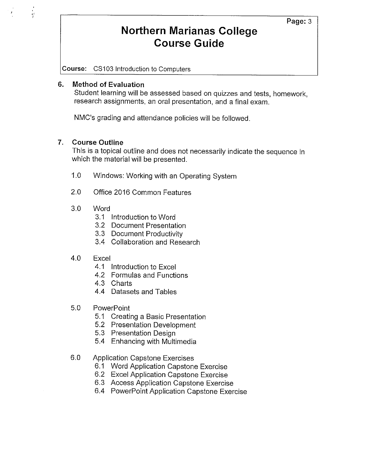# **Northern Marianas College Course Guide**

**Course:** CS103 Introduction to Computers

### **6. Method of Evaluation**

 $\frac{1}{2}$ 

Student learning will be assessed based on quizzes and tests, homework, research assignments, an oral presentation, and a final exam.

NMC's grading and attendance policies will be followed.

## **7. Course Outline**

This is a topical outline and does not necessarily indicate the sequence in which the material will be presented.

- 1.0 Windows: Working with an Operating System
- 2.0 Office 2016 Common Features
- 3.0 Word
	- 3.1 Introduction to Word
	- 3.2 Document Presentation
	- 3.3 Document Productivity
	- 3.4 Collaboration and Research
- 4.0 Excel
	- 4.1 Introduction to Excel
	- 4.2 Formulas and Functions
	- 4.3 Charts
	- 4.4 Datasets and Tables
- 5.0 PowerPoint
	- 5.1 Creating a Basic Presentation
	- 5.2 Presentation Development
	- 5.3 Presentation Design
	- 5.4 Enhancing with Multimedia
- 6.0 Application Capstone Exercises
	- 6.1 Word Application Capstone Exercise
	- 6.2 Excel Application Capstone Exercise
	- 6.3 Access Application Capstone Exercise
	- 6.4 PowerPoint Application Capstone Exercise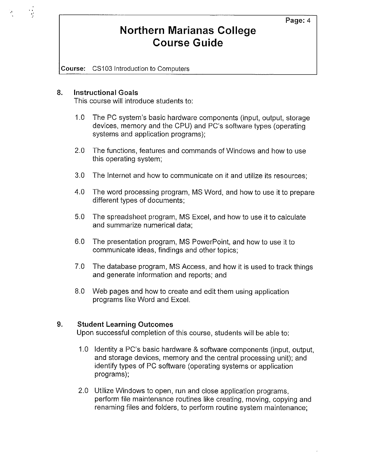# **Northern Marianas College Course Guide**

**Course:** CS103 Introduction to Computers

#### **8. Instructional Goals**

This course will introduce students to:

- 1.0 The PC system's basic hardware components (input, output, storage devices, memory and the CPU) and PC's software types (operating systems and application programs);
- 2.0 The functions, features and commands of Windows and how to use this operating system;
- 3.0 The Internet and how to communicate on it and utilize its resources;
- 4.0 The word processing program, MS Word, and how to use it to prepare different types of documents;
- 5.0 The spreadsheet program, MS Excel, and how to use it to calculate and summarize numerical data;
- 6.0 The presentation program, MS PowerPoint, and how to use it to communicate ideas, findings and other topics;
- 7.0 The database program, MS Access, and how it is used to track things and generate information and reports; and
- 8.0 Web pages and how to create and edit them using application programs like Word and Excel.

## **9. Student Learning Outcomes**

Upon successful completion of this course, students will be able to:

- 1.0 Identity a PC's basic hardware & software components (input, output, and storage devices, memory and the central processing unit); and identify types of PC software (operating systems or application programs);
- 2.0 Utilize Windows to open, run and close application programs, perform file maintenance routines like creating, moving, copying and renaming files and folders, to perform routine system maintenance;